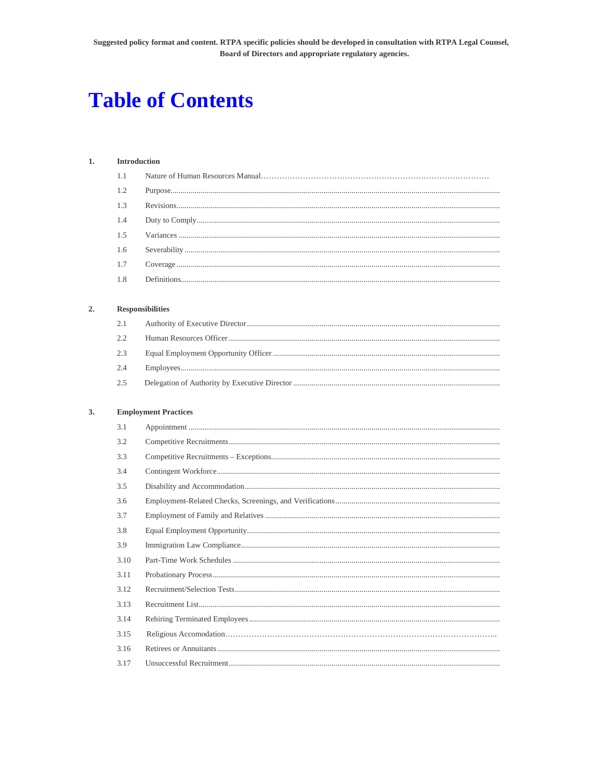# **Table of Contents**

### $1.$ **Introduction**

| 1.2 |              |
|-----|--------------|
|     |              |
| 1.4 |              |
|     |              |
|     |              |
| 1.7 |              |
| 1.8 | Definition 5 |
|     |              |

### $2.$  ${\bf Responsibility}$

| 2.3 |  |
|-----|--|
|     |  |
|     |  |

### $3.$ **Employment Practices**

| 3.1  |  |
|------|--|
| 3.2  |  |
| 3.3  |  |
| 3.4  |  |
| 3.5  |  |
| 3.6  |  |
| 3.7  |  |
| 3.8  |  |
| 3.9  |  |
| 3.10 |  |
| 3.11 |  |
| 3.12 |  |
| 3.13 |  |
| 3.14 |  |
| 3.15 |  |
| 3.16 |  |
| 3.17 |  |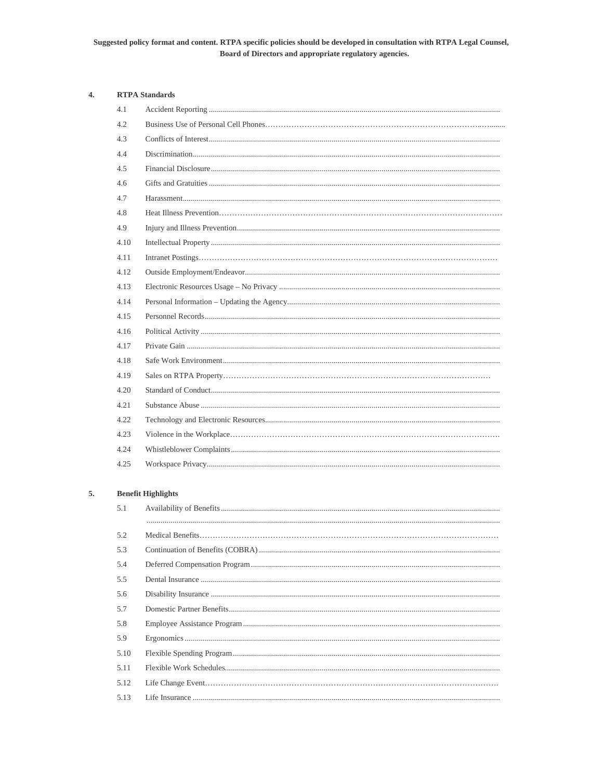# Suggested policy format and content. RTPA specific policies should be developed in consultation with RTPA Legal Counsel, Board of Directors and appropriate regulatory agencies.

### $\overline{4}$ . **RTPA** Standards

| 4.1  |  |
|------|--|
| 4.2  |  |
| 4.3  |  |
| 4.4  |  |
| 4.5  |  |
| 4.6  |  |
| 4.7  |  |
| 4.8  |  |
| 4.9  |  |
| 4.10 |  |
| 4.11 |  |
| 4.12 |  |
| 4.13 |  |
| 4.14 |  |
| 4.15 |  |
| 4.16 |  |
| 4.17 |  |
| 4.18 |  |
| 4.19 |  |
| 4.20 |  |
| 4.21 |  |
| 4.22 |  |
| 4.23 |  |
| 4.24 |  |
| 4.25 |  |

### 5. **Benefit Highlights**

| 5.1  |  |
|------|--|
|      |  |
| 5.2  |  |
| 5.3  |  |
| 5.4  |  |
| 5.5  |  |
| 5.6  |  |
| 5.7  |  |
| 5.8  |  |
| 5.9  |  |
| 5.10 |  |
| 5.11 |  |
| 5.12 |  |
| 5.13 |  |
|      |  |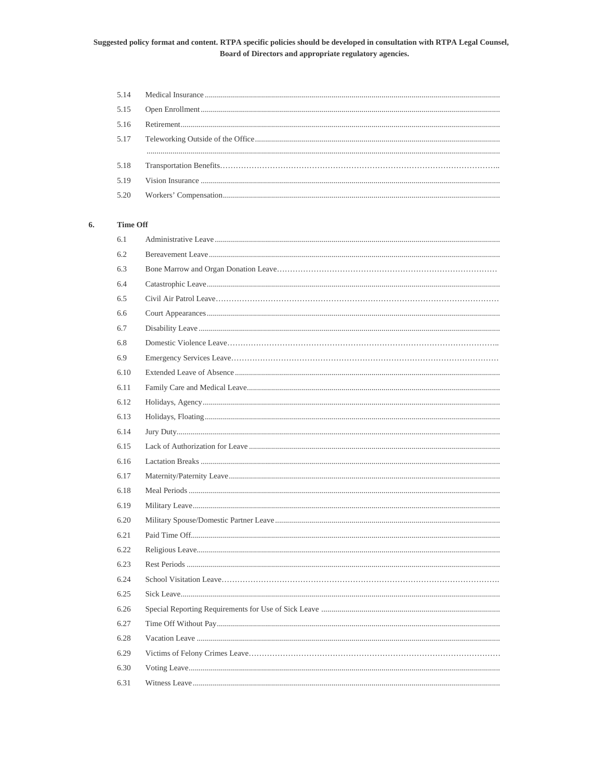# Suggested policy format and content. RTPA specific policies should be developed in consultation with RTPA Legal Counsel, Board of Directors and appropriate regulatory agencies.

### 6. **Time Off**

| 6.1  |  |
|------|--|
| 6.2  |  |
| 6.3  |  |
| 6.4  |  |
| 6.5  |  |
| 6.6  |  |
| 6.7  |  |
| 6.8  |  |
| 6.9  |  |
| 6.10 |  |
| 6.11 |  |
| 6.12 |  |
| 6.13 |  |
| 6.14 |  |
| 6.15 |  |
| 6.16 |  |
| 6.17 |  |
| 6.18 |  |
| 6.19 |  |
| 6.20 |  |
| 6.21 |  |
| 6.22 |  |
| 6.23 |  |
| 6.24 |  |
| 6.25 |  |
| 6.26 |  |
| 6.27 |  |
| 6.28 |  |
| 6.29 |  |
| 6.30 |  |
| 6.31 |  |
|      |  |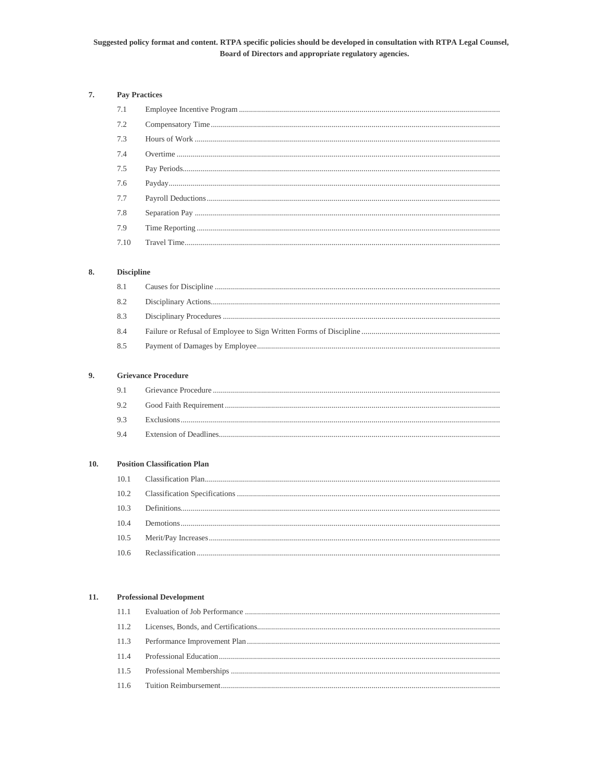### Suggested policy format and content. RTPA specific policies should be developed in consultation with RTPA Legal Counsel, Board of Directors and appropriate regulatory agencies.

### 7. **Pay Practices**

### 8. **Discipline**

| 8.4 |  |
|-----|--|
| 8.5 |  |

### 9. **Grievance Procedure**

|  | -mevance F<br>ение<br>∽⊺ເກ∵∈ |
|--|------------------------------|
|--|------------------------------|

- $9.2$
- 9.3 9.4

### **Position Classification Plan**  $10.$

### $11.$ **Professional Development**